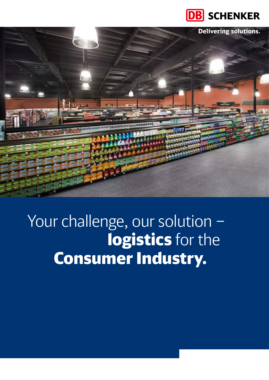



# Your challenge, our solution – logistics for the Consumer Industry.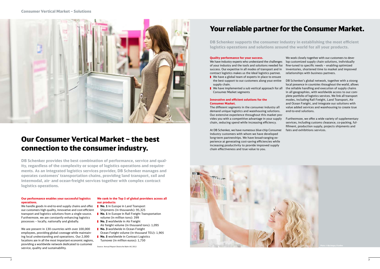## Your reliable partner for the Consumer Market.

**DB Schenker supports the consumer industry in establishing the most efficient logistics operations and solutions around the world for all your products.**

#### **Quality performance for your success.**

- We have a global team of experts in place to ensure the best support to our customers along your entire supply chain.
- We have implemented a sub vertical approach for all Consumer Market segments
- **Innovative and efficient solutions for the**

We have industry experts who understand the challenges of your industry and the tools and solutions needed for success. Our expertise in all modes of transport and in contract logistics makes us the ideal logistics partner.

### **Consumer Market.**

The different segments in the consumer industry all demand unique logistics and warehousing solutions. Our extensive experience throughout this market provides you with a competitive advantage in your supply chain, reducing spend while increasing efficiency.

At DB Schenker, we have numerous blue-chip Consumer industry customers with whom we have developed long-term partnerships. We have broad-ranging experience at generating cost-saving efficiencies while increasing productivity to provide improved supply chain effectiveness and true value to you.



We work closely together with our customers to develop customized supply chain solutions, individually fine-tuned to specific needs – enabling optimized inventories, shortened time to market and improved relationships with business partners.

DB Schenker's global network, together with a strong local presence in countries throughout the world, allows the reliable handling and execution of supply chains in all geographies, with worldwide access to our complete portfolio of logistics services. We link all transport modes, including Rail Freight, Land Transport, Air and Ocean Freight, and integrate our solutions with value added services and warehousing to create true end-to-end solutions.

- **No. 1** in Europe in Land Transport Shipments (in thousands): 95,325
- **No. 1** in Europe in Rail Freight Transportation volume (in million tons): 399
- **No. 2** worldwide in Air Freight
- Air freight volume (in thousand tons): 1,095 **No. 3** worldwide in Ocean Freight
- Ocean Freight volume (in thousand TEU): 1,905 **No. 5** worldwide in Contract Logistics
- Turnover (in million euros): 1,750

Furthermore, we offer a wide variety of supplementary services, including customs clearance, co-packing, fulfillment, production supply, projects shipments and fairs and exhibitions services.

### Our Consumer Vertical Market – the best connection to the consumer industry.

**DB Schenker provides the best combination of performance, service and quality, regardless of the complexity or scope of logistics operations and requirements. As an integrated logistics services provider, DB Schenker manages and operates customers' transportation chains, providing land transport, rail and intermodal, air- and ocean-freight services together with complex contract logistics operations.**

#### **Our performance enables your successful logistics operations.**

We handle goods in end-to-end supply chains and offer our customers high quality, innovative and cost-efficient transport and logistics solutions from a single source. Furthermore, we are constantly enhancing logistics processes – locally, nationally and globally.

We are present in 130 countries with over 100,000 employees, providing global coverage while maintaining local understanding and operations. Our 2,000 locations are in all the most important economic regions, providing a worldwide network dedicated to customer service, quality and sustainability.

#### **We rank in the Top 5 of global providers across all our products:**

Source: Annual Report Deutsche Bahn AG 2012

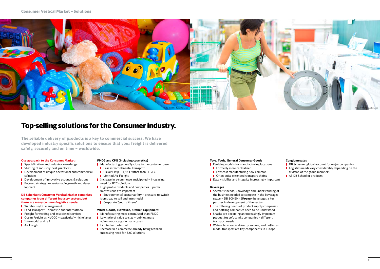### Top-selling solutions for the Consumer industry.

**The reliable delivery of products is a key to commercial success. We have developed industry specific solutions to ensure that your freight is delivered safely, securely and on time – worldwide.**

- Specialization and industry knowledge
- **B** Sharing of industry best practices
- Development of unique operational and commercial solutions
- Development of innovative products & solutions
- **F** Focused strategy for sustainable growth and development

#### **Our approach to the Consumer Market:**

#### **DB Schenker's Consumer Vertical Market comprises companies from different industry sectors, but there are many common logistics needs:**

- **National Management**
- $\blacksquare$  Land Transport domestic and international
- **Filter** Freight forwarding and associated services
- Ocean Freight as NVOCC particularly niche lanes
- **I** Intermodal and rail
- **Air Freight**
- **Manufacturing more centralized than FMCG**
- $\blacksquare$  Low ratio of value to size bulkier, more
- voluminous cargo in many cases **Limited air potential**
- Increase in e-commerce already being realized increasing need for B2C solutions

#### **FMCG and CPG (including cosmetics)**

- **Manufacturing generally close to the customer base:**
- **Less intercontinental transport**
- Usually ship FTL/FCL rather than LTL/LCL
- **Limited Air Freight**
- Increase in e-commerce anticipated increasing need for B2C solutions
- $\blacksquare$  High profile products and companies public impressions are important
- **E** Environmental sustainability pressure to switch from road to rail and intermodal
- Corporate "good citizens"
- Specialist needs, knowledge and understanding of the business needed to compete in the beverages space – DB SCHENKER*ocean* beverages a key partner in development of the sector
- $\blacksquare$  The differing needs of product supply companies and bottling companies need to be understood
- Snacks are becoming an increasingly important product for soft drinks companies – different transport needs
- **Naters business is drive by volume, and rail/inter**modal transport are key components in Europe

#### **White Goods, Furniture, Kitchen Equipment**

#### **Toys, Tools, General Consumer Goods**

- **Exallenger Find Constraints** Evolving models for manufacturing locations
- **Formerly more centralized**
- $\blacksquare$  Low cost manufacturing now common
- Often quite extended transport chains
- $\blacksquare$  Data visibility and integrity increasingly important

#### **Beverages**

#### **Conglomerates**

- **DB** Schenker global account for major companies **L** Logistics needs vary considerably depending on the division of the group members
- **All DB Schenker products**

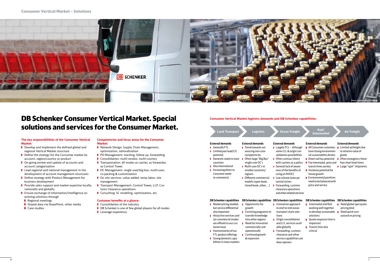### DB Schenker Consumer Vertical Market. Special solutions and services for the Consumer Market.

#### **The key responsibilities of the Consumer Vertical Market:**

- Develop and implement the defined global and regional Vertical Market structure
- Define the strategy for the Consumer market by account, region/country or product
- **On-going review and update of accounts and** account categorization
- Lead regional and national management in the development of account management structures
- Define strategy with Product Management for business development
- Provide sales support and market expertise locally, nationally and globally
- **E** Ensure exchange of information/intelligence on existing solutions through
- Regional meetings
- **B** Shared data via SharePoint, other media
- Case studies

#### **Competencies and focus areas for the Consumer Market:**

- Network Design: Supply Chain Management, optimization, rationalization
- **PO Management: tracking, follow up, forwarding**
- **Consolidation: multi-vendor, multi-country**
- $\blacksquare$  Transportation: all modes as carrier, as forwarder, as Control Tower
- DC Management: single user/big box; multi-user; co-packing & customization
- On site services: value added, temp labor, site management
- **T** Transport Management: Control Tower, LLP, Customs Clearance operations
- **Consulting: SC modeling, optimization, etc.**

Different commercial models (open book, closed book, other ...)

- L although **d** origin conpossibilities ract direct rs as a policy k of awarebenefits of using an NVOCC **Low volume lanes po**tential niches Forwarding, customs clearance operations
- and other related services
- to relative value of goods
- Direct rail has potential  $\blacksquare$  Often emergency there-
	- Large "spot" shipments

#### **Customer benefits at a glance:**

- Consolidation of the industry
- **DB** Schenker is one of few global players for all modes
- **Leverage experience**
- All Consumer customers **I** Limited airfreight due have strong environmental sustainability drivers
- For intermodal, price and fore short lead times transit times are key
- **I** Immense potential for future growth
- Environmental positives need to be balanced with price and service

### **Consumer Vertical Market logistics demands and DB Schenker capabilities:**

- **Forwarding, customs** clearance and other service capabilities are
	-
- **Market pricing needed,** but service differential also important Excisting programm to
- **Attractive services and** /or commercial modes are offered to our customer base
- Harmonization of our
- FTL product offerings **Strong domestic capa**bilities in many markets Continued growth & expansion
- **DB Schenker capabilities DB Schenker capabilities I** Innovative approach to end-to-end ocean transport chain solutions **Origin consolidation** and LCL services available globally
	- door openers

**Intermedial Commedial Preight Commedial** 

#### **R**ands

- **I** Intermodal and Rail working well together to develop sustainable solutions
- Quote response time is important
- $\blacksquare$  Transit time also critical
- Need global spot quote pricing desk
- Need quick turnaround on pricing

| <b>Land Transport</b>                | <b>Logistics</b>           | <b>Ocean Freight</b>          | Rail/<br>Interme               |
|--------------------------------------|----------------------------|-------------------------------|--------------------------------|
| <b>External demands</b>              | <b>External demands</b>    | <b>External demands</b>       | <b>External deman</b>          |
| Generally FTL                        | <b>■</b> Trend towards out | <b>Largely FCL</b> - although | All Consumer                   |
| $\blacksquare$ Limited part load/LTL | sourcing non-core          | some LCL & origin con-        | have strong en                 |
| potential                            | competencies               | solidation possibilities      | tal sustainabil                |
| <b>Domestic needs in most</b>        | Often large "Big Box"      | Often contract direct         | $\blacksquare$ Direct rail has |
| countries                            | single-user DC's           | with carriers as a policy     | $\blacksquare$ For intermoda   |
| Also international                   | Multi-user DC's in         | General lack of aware-        | transit times a                |
| $\blacksquare$ Increasing direct to  | smaller countries/         | ness of the benefits of       | <b>■</b> Immense pote          |
| Consumer needs                       | regions                    | using an NVOCC                | future growth                  |
| (e-commerce)                         | Different commercial       | Low volume lanes po-          | <b>Environmenta</b>            |

#### **External demands**

#### **External demands**

#### **DB Schenker capabilities** Opportunity for

growth

 $\blacksquare$ 

transfer knowledge into other regions Need for innovation commercially and operationally

#### **DB Schenker capabilities DB Schenker capabilities**

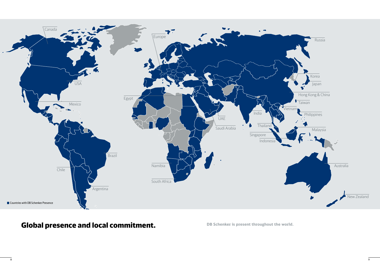

## Global presence and local commitment. **DB Schenker is present throughout the world.**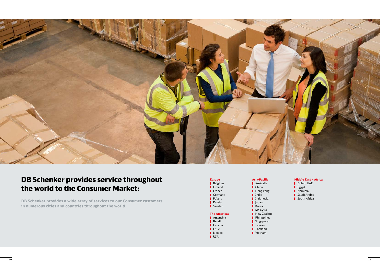| <b>Europe</b>       | Asia-Pacific     |  |
|---------------------|------------------|--|
| Belgium             | Australia        |  |
| Finland             | China            |  |
| France              | Hong kong        |  |
| Germany             | India            |  |
| Poland              | <b>Indonesia</b> |  |
| Russia              | <b>Japan</b>     |  |
| Sweden              | Korea            |  |
|                     | Malaysia         |  |
| <b>The Americas</b> | New Zealand      |  |
| Argentina           | Philippines      |  |
| Brazil              | Singapore        |  |
| Canada              | Taiwan           |  |
| Chile               | Thailand         |  |
| Mexico              | Vietnam          |  |
| USA                 |                  |  |
|                     |                  |  |

### **Middle East – Africa**

- Dubai, UAE
- Egypt
- Namibia
- Saudi Arabia
- South Africa



### DB Schenker provides service throughout the world to the Consumer Market:

**DB Schenker provides a wide array of services to our Consumer customers in numerous cities and countries throughout the world.**